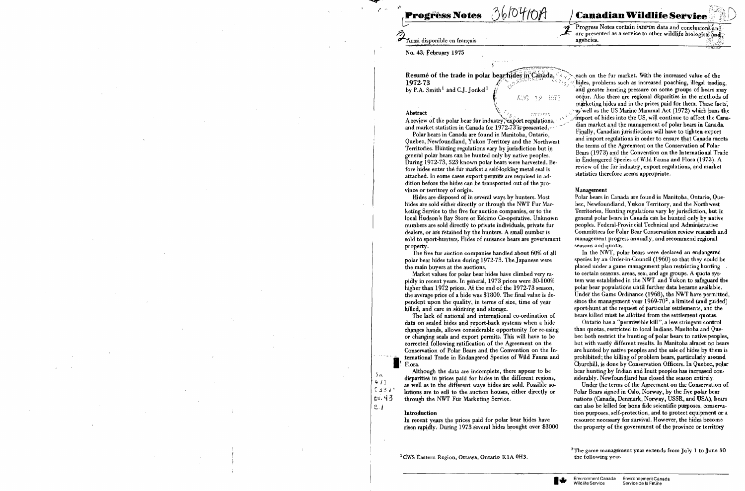Progréss Notes

#### Aussi disponible en français

No. 43, February 1975

Resumé of the trade in polar bear hides in Canada. 1972-73 by P.A. Smith<sup>1</sup> and C.J. Jonkel<sup>1</sup> AUG 32 1675

 $610410A$ 

errowe

#### Abstract

A review of the polar bear fur industry, export regulations, and market statistics in Canada for 1972-73 is presented.

Polar bears in Canada are found in Manitoba. Ontario. Quebec, Newfoundland, Yukon Territory and the Northwest Territories. Hunting regulations vary by jurisdiction but in general polar bears can be hunted only by native peoples. During 1972-73, 523 known polar bears were harvested. Before hides enter the fur market a self-locking metal seal is attached. In some cases export permits are required in addition before the hides can be transported out of the province or territory of origin.

Hides are disposed of in several ways by hunters. Most hides are sold either directly or through the NWT Fur Marketing Service to the five fur auction companies, or to the local Hudson's Bay Store or Eskimo Co-operative. Unknown numbers are sold directly to private individuals, private furdealers, or are retained by the hunters. A small number is sold to sport-hunters. Hides of nuisance bears are government property.

The five fur auction companies handled about 60% of all polar bear hides taken during 1972-73. The Japanese were the main buyers at the auctions.

Market values for polar bear hides have climbed very rapidly in recent years. In general, 1973 prices were 30-100% higher than 1972 prices. At the end of the 1972-73 season, the average price of a hide was \$1800. The final value is dependent upon the quality, in terms of size, time of year killed, and care in skinning and storage.

The lack of national and international co-ordination of data on sealed hides and report-back systems when a hide changes hands, allows considerable opportunity for re-using or changing seals and export permits. This will have to be corrected following ratification of the Agreement on the Conservation of Polar Bears and the Convention on the International Trade in Endangered Species of Wild Fauna and Flora.

Although the data are incomplete, there appear to be disparities in prices paid for hides in the different regions, as well as in the different ways hides are sold. Possible solutions are to sell to the auction houses, either directly or through the NWT Fur Marketing Service.

#### **Introduction**

 $Sn$ 

 $411$ 

 $(337)$ 

 $ve.43$ 

 $C.$ 

In recent years the prices paid for polar bear hides have risen rapidly. During 1973 several hides brought over \$3000

<sup>1</sup> CWS Eastern Region, Ottawa, Ontario K1A 0H3.



each on the fur market. With the increased value of the hides, problems such as increased poaching, illegal trading, and greater hunting pressure on some groups of bears may occur. Also there are regional disparities in the methods of marketing hides and in the prices paid for them. These facts, as well as the US Marine Mammal Act (1972) which bans the import of hides into the US, will continue to affect the Canadian market and the management of polar bears in Canada. Finally. Canadian jurisdictions will have to tighten export and import regulations in order to ensure that Canada meets the terms of the Agreement on the Conservation of Polar Bears (1973) and the Convention on the International Trade in Endangered Species of Wild Fauna and Flora (1973). A review of the fur industry, export regulations, and market statistics therefore seems appropriate.

#### Management

Polar bears in Canada are found in Manitoba, Ontario, Ouebec, Newfoundland, Yukon Territory, and the Northwest Territories. Hunting regulations vary by jurisdiction, but in general polar bears in Canada can be hunted only by native peoples. Federal-Provincial Technical and Administrative Committees for Polar Bear Conservation review research and management progress annually, and recommend regional seasons and quotas.

In the NWT, polar bears were declared an endangered species by an Order-in-Council (1960) so that they could be placed under a game management plan restricting hunting to certain seasons, areas, sex, and age groups. A quota system was established in the NWT and Yukon to safeguard the polar bear populations until further data became available. Under the Game Ordinance (1968), the NWT have permitted, since the management year  $1969-70^2$ , a limited (and guided) sport-hunt at the request of particular settlements, and the bears killed must be allotted from the settlement quotas.

Ontario has a "permissible kill", a less stringent control than quotas, restricted to local Indians. Manitoba and Ouebec both restrict the hunting of polar bears to native peoples, but with vastly different results. In Manitoba almost no bears are hunted by native peoples and the sale of hides by them is prohibited; the killing of problem bears, particularly around Churchill, is done by Conservation Officers. In Quebec, polar bear hunting by Indian and Inuit peoples has increased considerably. Newfoundland has closed the season entirely.

Under the terms of the Agreement on the Conservation of Polar Bears signed in Oslo, Norway, by the five polar bear nations (Canada, Denmark, Norway, USSR, and USA), bears can also be killed for bona fide scientific purposes, conservation purposes, self-protection, and to protect equipment or a resource necessary for survival. However, the hides become the property of the government of the province or territory

<sup>2</sup> The game management year extends from July 1 to June 30 the following year.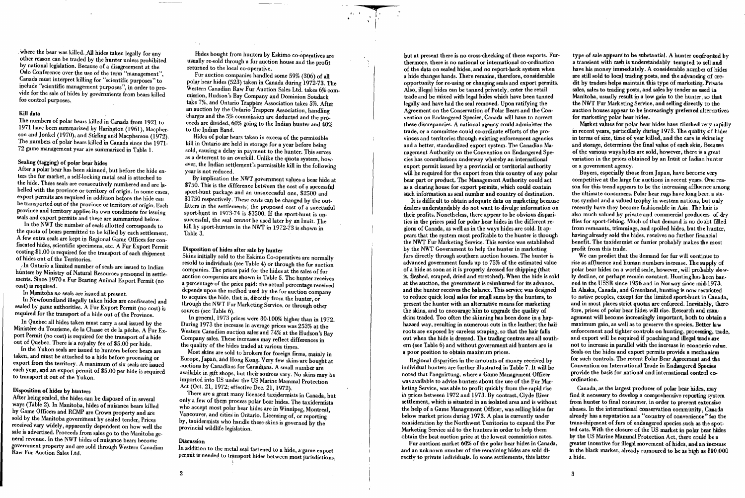where the bear was killed. All hides taken legally for any other reason can be traded by the hunter unless prohibited by national legislation. Because of a disagreement at the Oslo Conference over the use of the term "management", Canada must interpret killing for "scientific purposes" to include "scientific management purposes", in order to provide for the sale of hides by governments from bears killed fot control purposes,

The numbers of polar bears killed in Canada from 1921 to 1971 have been summarized by Harington (1961), Macpherson and Jonkel (1970), and Stirling and Macpherson (1972). The numbers of polar bears killed in Canada since the 1971-72 game management year are summarized in Table 1.

### Sealing (tagging) of polar bear hides

#### KiU data

In the NWT the number of seals allotted corresponds to the quota of bears permitted to be killed by each settlement. A few extra seals are kept in Regional Game Offices for confiscated hides, scientific specimens, etc. A fur Export Permit costing \$1.00 is required for the transport of each shipment of hides out of the Territories.

JIn Ontario. a.limited number of seals are issued to Indian hunters by Ministry of Natural Resources personnel in settlements. Since 1970 a Fur Bearing Animal Export Permit (no cost) is required.

After a polar bear has been skinned, but before the hide enters the fur market, a self-locking metal seal is attached to the hide. These seals are consecutively numbered and are labelled with the province or territory of origin. In sorne cases, export permits are required in addition before the hide can be transported out of the province or territory of origin, Each province and territory applies its own conditions for issuing seals and ex port permits and these are summarized below.

After being sealed, the hides can be disposed of in several ways (Table 2). In Manitoba, hides of nuisance bears killed by Game Officers and RCMP are Crown property and are sold by the Manitoba government by sealed tender, Prices received vary widely, apparently dependent on how well the sale is advertised. Proceeds from sales go to the Manitoba general revenue. In the NWT hides of nuisance bears become government property and are sold through Western Canadian Raw Fur AUction Sales Ltd.

Hides bought from hunters by Eskimo co-operatives are usually re-sold through a fur auction house and the profit returned to the local co-operative.

 $\sigma_{\lambda} = 0$ 

Fur auction companies handled some 59% (306) of all polar bear hides (523) taken in Canada during 1972-73. The Western Canadian Raw Fur Auction Sales Ltd. takes 6% commission, Hudson 's Bay Company and Dominion Soudack take 7%, and Ontario Trappers Association takes 5%. After an auction by the Ontario Trappers Association, handling charges and the 5% commission are deducted and the proceeds are divided, 60% going to the Indian hunter and 40% to the Indian Band.

ln Manitoba *no* seals are issued at present.

ln Newfoundland illegally taken hides are confiscated and sealed by game authorities. A Fur Export Permit (no cost) is required for the transport of a hide out of the Province.

Hides of polar bears taken in excess of the permissible kill in Ontario are held in storage for a year before being sold, causing a delay in payment to the hunter. This serves as a deterrent to an overkill. Unlike the quota system, however, the Indian settlement's permissible kill in the following year is not redùced.

ln Quebecall hides taken must carry a seal issued by the Ministère du Tourisme, de la Chasse et de la pêche. A Fur Export Permit (no cost) is required for the transport of a hide out of Quebec. There is a royalty fee of \$5,00 per hide.

By implication the NWT government values a bear hide at \$750. This is the difference between the cost of a successful sport-hunt package and an unsuccessful one, \$2500 and \$1750 respectively. These costs can be changed by the outfitters in the settlements; the proposed cost of a successful sport-hunt in 1973-74 is  $$3500$ . If the sport-hunt is unsuccessful, the seal *cannot* be used later by an Inuit. The kill by sport-hunters in the NWT in  $1972-73$  is shown in Table 3.

ln the Yukon seals are issued to hunters before bears are taken, and must be attached to a hide before processing or export from the territory. A maximum of six seals are issued each year, and an export permit of \$5.00 per hide is required to transport it out of the Yukon.

### Disposition of hides by hunters

Skins initially sold to the Eskimo Co-operatives are normally resold to individuals (see Table 4) or through the fur auction companies. The prices paid for the hides at the sales of fut auction companies are shown in Table 5. The hunter receives a percentage of the price paid: the actual percentage received depends upon the method used by the fur auction company to acquire the hide, that is, directly from the hunter, or through the NWT Fur Marketing Service, or through other sources (see Table 6).

In general, 1973 prices were 30-100% higher than in 1972. During 1973 the increase in average prices was 253%at the Western Canadian auction sales and  $74\%$  at the Hudson's Bay Company sales. These increases may reflect differences in the quality of the hides traded at various times.

Most skins are sold to brokers for foreign firms, mainly in Europe, Japan, and Hong Kong. Very few skins are bought at auctions by Canadians for Canadians. A small number are available in gift shops, but their sources vary. No skins may be imported into US under the US Marine Mammal Protection Act (Oct. 21, 1972; effective Dec. 21, 1972).

but at present there is no cross-checking of these exports. Furthermore, there is no national or international co-ordination of the data on sealed hides, and no report-back system when a hide changes hands. There remains, therefore, considerable opporturiity for re-using or changing seals and export permits. Also, illegal hides can be tanned privately, enter the retail trade and be mixed with legal hides which have been tanned legally and have had the seal removed. Upon ratifying the Agreement on the Conservation of Polar Bears and the Convention on Endangered Species, Canada will have to correct these discrepancies. A national agency could admiriister the trade, or a committee could co-ordinate efforts of the provinces and territories through existing enforcement agencies and a better, standardized export system. The Canadian Ma nagement Authority on the Convention on Endangered Species has consultations underway whereby an international export permit issued by a provincial or territorial authority will be required for the export from this country of any polar bear part or product. The Management Authority could act as a clearing house for export permits, which could contain such information as seal number and country of destination.

It is difficult to obtain adequate data on marketing because dealers understandably do not want to divulge information on their profits. Nonetheless, there appear to be obviow disparities in the prices paid for polar bear hides in the different regions of Canada, as well as in the ways hides are sold. It appears that the system most profitable to the hunter is through the NWT Fur Marketing Service. This service was established by the NWT Government to help the hunter in marketing furs directly through southern auction houses. The hunter is advanced government funds up to 75% of the estimated value of a hide as soon as it is properly dressed for shipping (that is, fleshed, scraped, dried and stretched). When the hide is sold at the auction, the government is reimbursed for its advance, and the hunter receives the balance. This service was designed to reduce quick local sales for small sums by the hunters, to present the hunter with an alternative means for marketing the skins, and to encourage him to upgrade the quality of skins traded. Too often the skinning has been done in a haphazard way, resulting in numerous cuts in the leather; the hait roots are exposed by careless scraping, so that the hair falls out when the hide is dressed. The trading centres are ail southern (see Table 6) and without government aid hunters are in a poor position to obtain maximum prices.

## Disposition of hides after sale by hunter

Regional disparities in the amounts of money received by individual hunters are further illustrated in Table 7. It will be noted that Pangnirtung, where a Game Management Officer was available to advise hunters about the use of the Fur Marketing Service, was able to profit quickly from therapid rise in prices between 1972 and 1973. By contrast, Clyde River settlement, which is situated in an isolated area and is without the help of a Game Management Officer, was selling hides far below market priees during 1973. A plan is currently under consideration by the Northwest Territories to expand the Fur Marketing Service aid to the hunters in order to help them obtain the best auction price at the lowest commission rates.

Fur auctions market 60% of the polar bear hides in Canada, and an unknown number of the remaining hides are sold directly to private individuals. In some settlements, this latter

type of sale appears to be substantial. A hunter confronted by a transient with cash is understandably tempted to sell and have his money immediately. A considerable number of hides are still sold to local trading posts, and the advancing of credit by traders helps maintain this type of marketing. Private sales, sales to trading posts, and sales by tender as used in Manitoba, usually result in a low gain to the hunter, so that the NWT Fur Marketing Service, and selling directly to the auction houses appear to be increasingly preferred alternatives for marketing polar bear hides.

Market values for polar bear hides have climbed very rapidly in recent years, particularly during 1973. The quality of hides in terms of size, time of year killed, and the care in skinning and storage, determines the final value of each skin. Because of the varions ways hides are sold, however, there is a great variation in the prices obtained by an Inuit or Indian hunter or a governmentagency.

There are a great many licensed taxidermists in Canada, bùt only a few of them process polar bear hides. The taxidermists who accept most polar bear hides are in Winnipeg, Montreal, Vancouver, and cities in Ontario. Licensing of, or reporting by, taxidermists who handle these skins is governed by the provincial wildlife legislation. .

#### **Discussion**

In addition to the metal seal fastened to a hide, a game export permit is needed to transport hides between most jurisdictions,

"

Buyers, especially those from Japan, have become very competitive at the large fur auctions in recent years. One reason for this trend appears to be the increasing affluence among the ultimate consumers. Polar bear rugs have long been a sta· tus symbol and a valued trophy in western nations, but only recently have they become fashionable in Asia. The hait is also much valued by private and commercial producers of dry flies for sport-fishing. Much of that demand is no doubt filled from remnants, trimmings, and spoiled hides, but the hunter, having already sold the hides, receives no further financia1 benefit. The taxidermist or furrier probably makes the most profit from this trade.

We can predict that the demand for fur will continue to rise as affluence and human numbers increase. The supply of polar bear hides on a world scale, however, will probably slow-Iy decline, or perhaps rema'in constant\_ Huntinghas heen banned in the USSR since 1956 and in Norway since mid·1973. ln Alaska, Canada, and Greenland, hunting is now restricted to native peoples, except for the limited sport-hunt in Canada, and in most places strict quotas are enforced. Inevitably, therefore, prices of polar beat hides will rise. Reseàrch and man· agement will become increasingly important, both to obtain a maximum gain, as weil as to preserve the species. Better law enforcement and tighter controls on hunting, processing, trade, and export will be reqùired if poachingand ilIegal trade are not to increase in parallel with the increase in economic value. Seals on the hides and export permits provide a mechanism for such controls. The recent Polar Bear Agreement and the Convention on International Trade in Endangered Species provide the basis for national and international control coordination.

Canada, as the largest producer of polar bear bides, may find it necessary to develop a comprehensive reporting system from hunter to final consumer, in order to prevent extensive abuses. In the international conservation community, Canada already has a reputation as a "country of convenience" for the trans-shipment of furs of endangered species such as the spotted cats. With the dosure of the US market in polar bear hides by the US Marine Mammal Protection Act, there could be a greater incentive for ilIegal movement of hi des, and an increase in the black market, already rumoured to be as high as \$10,000 a hide.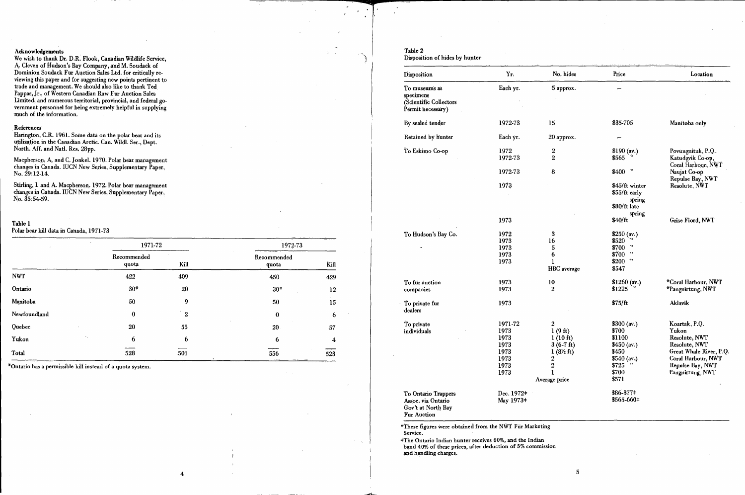#### Acknowledgements

We wish to thank Dr. D.R. Flook, Canadian Wildlife Service, A. Cleven of Hudson's Bay Company, and M. Soudack of Dominion Soudack Fur Auction Sales Ltd. for critically reviewing this paper and for suggesting new points pertinent to trade and management. We should also like to thank Ted Pappas, Jr., of Western Canadian Raw Fur Auction Sales Limited, and numerous territorial, provincial, and federal government personnel for being extremely helpful in supplying much of the information.

## References

Harington, C.R. 1961. Some data on the polar bear and its utilization in the Canadian Arctic. Can. Wildl. Ser., Dept. North. Aff. and Natl. Res. 28pp.

Macpherson, A. and C. Jonkel. 1970. Polar bear management changes in Canada. IUCN New Series, Supplementary Paper, No.  $29:12-14$ .

Stirling, I. and A. Macpherson. 1972. Polar bear management changes in Canada. IUCN New Series, Supplementary Paper, No.  $35:54-59$ .

#### Table 1

Polar bear kill data in Canada, 1971-73

| <br>.<br>$\cdot$ | 1971-72              |                | 1972-73              |      |
|------------------|----------------------|----------------|----------------------|------|
| $-1$             | Recommended<br>quota | Kill           | Recommended<br>quota | Kill |
| <b>NWT</b>       | 422                  | 409            | 450                  | 429  |
| Ontario          | $30*$                | 20             | $30*$                | 12   |
| Manitoba         | 50                   | 9              | 50                   | 15   |
| Newfoundland     | $\bf{0}$             | $\overline{2}$ | $\bf{0}$             | 6    |
| Quebec           | 20                   | 55             | 20                   | 57   |
| Yukon            | ٠.<br>6              | 6              | 6                    | 4    |
| Total            | 528                  | 501            | 556                  | 523  |

 $\boldsymbol{4}$ 

\*Ontario has a permissible kill instead of a quota system.

## Table 2

Disposition of hides by hunter

| Disposition                                                               | Yr.                  | No. hides                          | Price                                            | Location                                                    |
|---------------------------------------------------------------------------|----------------------|------------------------------------|--------------------------------------------------|-------------------------------------------------------------|
| To museums as<br>specimens<br>(Scientific Collectors<br>Permit necessary) | Each yr.             | 5 approx.                          |                                                  |                                                             |
| By sealed tender                                                          | 1972-73              | 15                                 | \$35-705                                         | Manitoba only                                               |
| Retained by hunter                                                        | Each yr.             | 20 approx.                         |                                                  |                                                             |
| To Eskimo Co-op                                                           | 1972<br>1972-73      | $\boldsymbol{2}$<br>$\overline{2}$ | \$190 (av.)<br>\$565                             | Povungnituk, P.Q.<br>Katudgvik Co-op,<br>Coral Harbour, NWT |
|                                                                           | 1972-73              | 8                                  | $\mathcal{D}$<br>\$400                           | Naujat Co-op<br>Repulse Bay, NWT                            |
|                                                                           | 1973                 |                                    | \$45/ft winter<br>\$55/ft early<br>spring        | Resolute, NWT                                               |
|                                                                           |                      |                                    | \$80/ft late<br>spring                           |                                                             |
|                                                                           | 1973                 |                                    | \$40/ft                                          | Grise Fiord, NWT                                            |
| To Hudson's Bay Co.                                                       | 1972<br>1973         | 3<br>16                            | \$250 (av.)<br>\$520<br>$\overline{\phantom{a}}$ |                                                             |
|                                                                           | 1973<br>1973<br>1973 | $\mathbf 5$<br>6<br>$\mathbf i$    | \$700<br>$\cdot$<br>\$700<br>$\cdot$<br>\$200    |                                                             |
|                                                                           |                      | HBC average                        | \$547                                            |                                                             |
| To fur auction<br>companies                                               | 1973<br>1973         | 10<br>$\overline{2}$               | $$1260$ (av.)<br>\$1225                          | *Coral Harbour, NWT<br>*Pangnirtung, NWT                    |
| To private fur<br>dealers                                                 | 1973                 |                                    | \$75/ft                                          | Aklavik                                                     |
| To private                                                                | 1971-72              | $\boldsymbol{2}$                   | \$300 (av.)                                      | Koartak, P.Q.                                               |
| individuals                                                               | 1973                 | 1(9 ft)                            | \$700                                            | Yukon                                                       |
|                                                                           | 1973                 | 1(10 ft)                           | \$1100                                           | Resolute, NWT                                               |
|                                                                           | 1973                 | $3(6-7)$ ft)                       | \$450 (av.)                                      | Resolute, NWT                                               |
|                                                                           | 1973                 | $1(8\frac{1}{2} \text{ ft})$       | \$450                                            | Great Whale River, P.Q.                                     |
|                                                                           | 1973                 | 2                                  | $$540$ (av.)                                     | Coral Harbour, NWT                                          |
|                                                                           | 1973                 | 2                                  | \$725                                            | Repulse Bay, NWT                                            |
|                                                                           | 1973                 | 1<br>Average price                 | \$700<br>\$571                                   | Pangnirtung, NWT                                            |
| To Ontario Trappers                                                       | Dec. 1972#           |                                    | $$86-377+$                                       |                                                             |
| Assoc. via Ontario<br>Gov't at North Bay<br><b>Fur Auction</b>            | May 1973#            |                                    | \$565-660‡                                       |                                                             |

\*These figures were obtained from the NWT Fur Marketing Service.

#The Ontario Indian hunter receives 60%, and the Indian band 40% of these prices, after deduction of 5% commission and handling charges.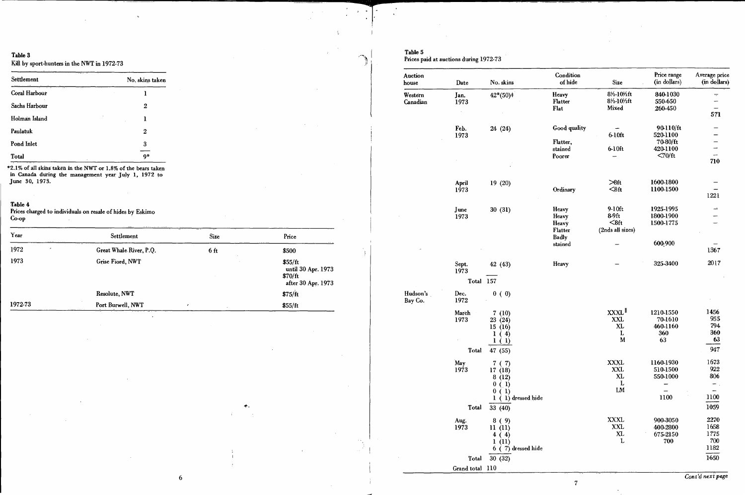## Table 3

# Kill by sport-hunters in the NWT in 1972-73

| Settlement    | No. skins taken |
|---------------|-----------------|
| Coral Harbour | ı               |
| Sachs Harbour | 2               |
| Holman Island | 1               |
| Paulatuk      | 2               |
| Pond Inlet    | 3               |
| Total         | $0*$            |

\*2.1% of all skins taken in the NWT or 1.8% of the bears taken<br>in Canada during the management year July 1, 1972 to<br>June 30, 1973.

# Table 4

Prices charged to individuals on resale of hides by Eskimo Co-op  $\sim$ 

| Year    | Settlement              | Size    | Price                                                          |
|---------|-------------------------|---------|----------------------------------------------------------------|
| 1972    | Great Whale River, P.Q. | 6 ft    | \$500                                                          |
| 1973    | Grise Fiord, NWT        |         | \$55/ft<br>until 30 Apr. 1973<br>\$70/ft<br>after 30 Apr. 1973 |
|         | Resolute, NWT           |         | \$75/ft                                                        |
| 1972-73 | Port Burwell, NWT       | r.<br>٠ | \$55/ft                                                        |

6

 $\sim$ 

Table 5 Prices paid at auctions during 1972-73

 $\begin{picture}(120,15) \put(0,0){\line(1,0){15}} \put(15,0){\line(1,0){15}} \put(15,0){\line(1,0){15}} \put(15,0){\line(1,0){15}} \put(15,0){\line(1,0){15}} \put(15,0){\line(1,0){15}} \put(15,0){\line(1,0){15}} \put(15,0){\line(1,0){15}} \put(15,0){\line(1,0){15}} \put(15,0){\line(1,0){15}} \put(15,0){\line(1,0){15}} \put(15,0){\line($ 

| Auction<br>house    | Date            | No. skins                        | Condition<br>of hide | Size                                                             | Price range<br>(in dollars) | Average price<br>(in dollars) |
|---------------------|-----------------|----------------------------------|----------------------|------------------------------------------------------------------|-----------------------------|-------------------------------|
| Western             | Jan.            | $42*(50)$                        | Heavy                | 8 <sup>1</sup> / <sub>2</sub> -10 <sup>1</sup> / <sub>2</sub> ft | 840-1030                    | $\overline{\phantom{a}}$      |
| Canadian            | 1973            |                                  | Flatter              | 8 <sup>1</sup> / <sub>2</sub> -10 <sup>1</sup> / <sub>2</sub> ft | 550-650                     |                               |
|                     |                 |                                  | Flat                 | Mixed                                                            | 260-450                     |                               |
|                     |                 |                                  |                      |                                                                  |                             | 571                           |
|                     | Feb.            | 24 (24)                          | Good quality         |                                                                  | 90-110/ft                   |                               |
|                     | 1973            |                                  |                      | $6-10$ ft                                                        | 520-1100                    |                               |
|                     |                 |                                  | Flatter,             |                                                                  | 70-80/ft                    |                               |
|                     |                 |                                  | stained              | $6-1.0$ ft                                                       | 420-1100                    | $\overline{a}$                |
|                     |                 |                                  | Poorer               |                                                                  | <70/ft                      | 710                           |
|                     |                 |                                  |                      |                                                                  |                             |                               |
|                     | April           | 19(20)                           |                      | $>8f$ t                                                          | 1600-1800                   |                               |
|                     | 1973            |                                  | Ordinary             | $8ft$                                                            | 1100-1500                   | 1221                          |
|                     |                 |                                  |                      |                                                                  |                             |                               |
|                     | June            | 30(31)                           | Heavy                | 9-10ft                                                           | 1925-1995                   | شت                            |
|                     | 1973            |                                  | Heavy                | $8.9$ ft                                                         | 1800-1900                   |                               |
|                     |                 |                                  | Heavy                | $8ft$                                                            | 1500-1775                   |                               |
|                     |                 |                                  | Flatter              | (2nds all sizes)                                                 |                             |                               |
|                     |                 |                                  | Badly                |                                                                  |                             |                               |
|                     |                 |                                  | stained              |                                                                  | 600-900                     | 1367                          |
|                     | Sept.<br>1973   | 42 (43)                          | Heavy                |                                                                  | 325-3400                    | 2017                          |
|                     | Total 157       |                                  |                      |                                                                  |                             |                               |
|                     |                 |                                  |                      |                                                                  |                             |                               |
| Hudson's<br>Bay Co. | Dec.<br>1972    | 0(0)                             |                      |                                                                  |                             |                               |
|                     | March           | (10)<br>7                        |                      | XXXL <sup>II</sup>                                               | 1210-1550                   | 1456                          |
|                     | 1973            | 23<br>(24)                       |                      | <b>XXL</b>                                                       | 70-1610                     | 955                           |
|                     |                 | 15(16)                           |                      | XL                                                               | 460-1160                    | 794                           |
|                     |                 | ı<br>4)                          |                      | L                                                                | 360                         | 360                           |
|                     |                 | $\ket{1}$<br>1                   |                      | M                                                                | 63                          | 63                            |
|                     | Total           | 47 (55)                          |                      |                                                                  |                             | 947                           |
|                     | May             | 7(7)                             |                      | <b>XXXL</b>                                                      | 1160-1930                   | 1673                          |
|                     | 1973            | 17(18)                           |                      | <b>XXL</b>                                                       | 510-1500                    | 922                           |
|                     |                 | 8(12)                            |                      | XL                                                               | 550-1000                    | 806                           |
|                     |                 | 0(1)                             |                      | L                                                                | -                           | $\rightarrow$ .               |
|                     |                 | $\bf{0}$<br>(1)                  |                      | LM                                                               | $\overline{\phantom{0}}$    |                               |
|                     |                 | $\mathbf{1}$<br>(1) dressed hide |                      |                                                                  | 1100                        | 1100                          |
|                     | Total           | 33 (40)                          |                      |                                                                  |                             | 1059                          |
|                     | Aug.            | 8(9)                             |                      | <b>XXXL</b>                                                      | 900-3050                    | 2270                          |
|                     | 1973            | 11(11)                           |                      | <b>XXL</b>                                                       | 400-2800                    | 1658                          |
|                     |                 | 4(4)                             |                      | XL                                                               | 675-2150                    | 1775                          |
|                     |                 | 1(11)                            |                      | L                                                                | 700                         | 700                           |
|                     |                 | $6(7)$ dressed hide              |                      |                                                                  |                             | 1182                          |
|                     | Total           | 30(32)                           |                      |                                                                  |                             | 1650                          |
|                     | Grand total 110 |                                  |                      |                                                                  |                             |                               |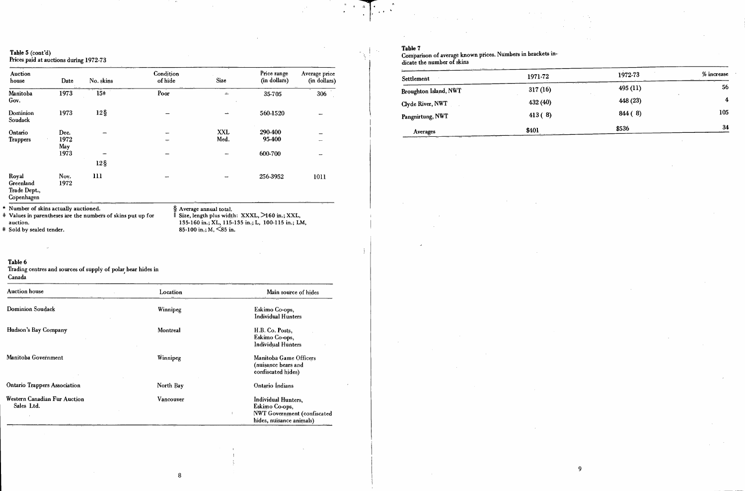Table 5 (cont'd)<br>Prices paid at auctions during 1972-73

| Auction<br>house                                                          | Date                | No. skins                                                    | Condition<br>of hide | Size                                                      | Price range<br>(in dollars)                                                                        | Average price<br>(in dollars) |  |
|---------------------------------------------------------------------------|---------------------|--------------------------------------------------------------|----------------------|-----------------------------------------------------------|----------------------------------------------------------------------------------------------------|-------------------------------|--|
| Manitoba<br>Gov.                                                          | 1973                | $15\pm$                                                      | Poor                 | $\equiv$                                                  | 35-705                                                                                             | 306                           |  |
| Dominion<br>Soudack                                                       | 1973                | $12\S$                                                       |                      |                                                           | 560-1520                                                                                           |                               |  |
| Ontario<br><b>Trappers</b>                                                | Dec.<br>1972<br>May |                                                              |                      | <b>XXL</b><br>Med.                                        | 290-400<br>95-400                                                                                  |                               |  |
|                                                                           | 1973                | $12\S$                                                       |                      |                                                           | 600-700                                                                                            |                               |  |
| Royal<br>Greenland<br>Trade Dept.,<br>Copenhagen                          | Nov.<br>1972        | 111                                                          |                      |                                                           | 256-3952                                                                                           | 1011                          |  |
| Number of skins actually auctioned.<br>auction.<br>Sold by sealed tender. |                     | Values in parentheses are the numbers of skins put up for    |                      | § Average annual total.<br>$85-100$ in ; M, $\leq 85$ in. | Size, length plus width: XXXL, >160 in.; XXL,<br>135-160 in.; XL, 115-135 in.; L, 100-115 in.; LM, |                               |  |
| Table 6<br>Canada                                                         |                     | Trading centres and sources of supply of polar bear hides in |                      |                                                           |                                                                                                    |                               |  |
| <b>Auction</b> house                                                      |                     |                                                              | Location             |                                                           | Main source of hides                                                                               |                               |  |
| <b>Dominion Soudack</b>                                                   |                     | Winnipeg                                                     |                      |                                                           | Eskimo Co-ops,<br><b>Individual Hunters</b>                                                        |                               |  |
| Hudson's Bay Company                                                      |                     | Montreal                                                     |                      |                                                           | H.B. Co. Posts,<br>Eskimo Co-ops,<br>Individual Hunters                                            |                               |  |
| Manitoba Government                                                       |                     | Winnipeg                                                     |                      |                                                           | Manitoba Game Officers<br>(nuisance bears and<br>confiscated hides)                                |                               |  |

Western Canadian Fur Auction Sales Ltd.

**Ontario Trappers Association** 

 $\frac{1}{2}$ 

 $\bm{8}$ 

North Bay

Vancouver

Ontario Indians

 $\mathbf{r}$ 

Individual Hunters,<br>Eskimo Co-ops,<br>NWT Government (confiscated<br>hides, nuisance animals)

Table 7<br>Comparison of average known prices. Numbers in brackets in-<br>dicate the number of skins

| Settlement            | 1971-72  | 1972-73 | $%$ increase<br>service and the con- |
|-----------------------|----------|---------|--------------------------------------|
| Broughton Island, NWT | 317(16)  | 495(11) | 56                                   |
| Clyde River, NWT      | 432 (40) | 448(23) | 4                                    |
| Pangnirtung, NWT      | 413(8)   | 844(8)  | 105                                  |
| Averages              | \$401    | \$536   | 34                                   |